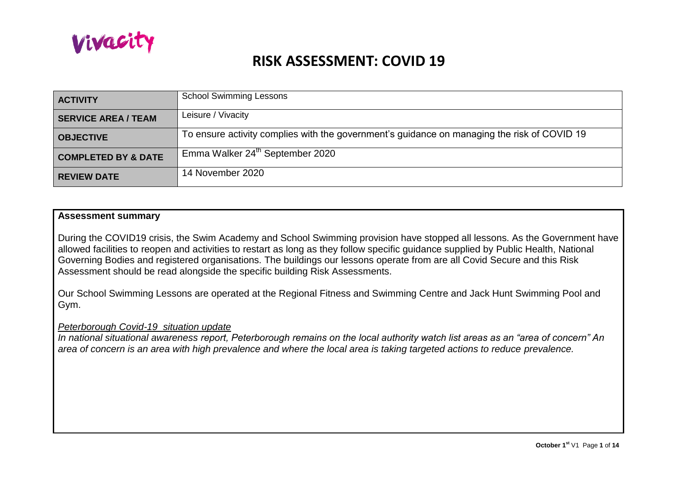

| <b>ACTIVITY</b>                | <b>School Swimming Lessons</b>                                                              |
|--------------------------------|---------------------------------------------------------------------------------------------|
| <b>SERVICE AREA / TEAM</b>     | Leisure / Vivacity                                                                          |
| <b>OBJECTIVE</b>               | To ensure activity complies with the government's guidance on managing the risk of COVID 19 |
| <b>COMPLETED BY &amp; DATE</b> | Emma Walker 24 <sup>th</sup> September 2020                                                 |
| <b>REVIEW DATE</b>             | 14 November 2020                                                                            |

#### **Assessment summary**

During the COVID19 crisis, the Swim Academy and School Swimming provision have stopped all lessons. As the Government have allowed facilities to reopen and activities to restart as long as they follow specific guidance supplied by Public Health, National Governing Bodies and registered organisations. The buildings our lessons operate from are all Covid Secure and this Risk Assessment should be read alongside the specific building Risk Assessments.

Our School Swimming Lessons are operated at the Regional Fitness and Swimming Centre and Jack Hunt Swimming Pool and Gym.

#### *Peterborough Covid-19 situation update*

*In national situational awareness report, Peterborough remains on the local authority watch list areas as an "area of concern" An area of concern is an area with high prevalence and where the local area is taking targeted actions to reduce prevalence.*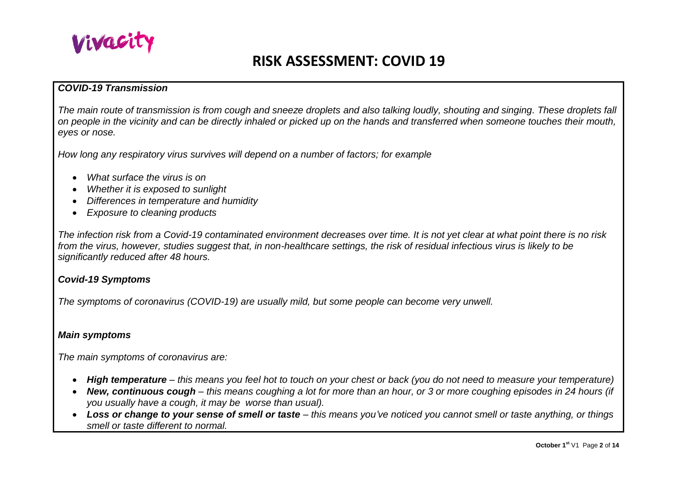

### *COVID-19 Transmission*

*The main route of transmission is from cough and sneeze droplets and also talking loudly, shouting and singing. These droplets fall on people in the vicinity and can be directly inhaled or picked up on the hands and transferred when someone touches their mouth, eyes or nose.*

*How long any respiratory virus survives will depend on a number of factors; for example* 

- *What surface the virus is on*
- *Whether it is exposed to sunlight*
- *Differences in temperature and humidity*
- *Exposure to cleaning products*

*The infection risk from a Covid-19 contaminated environment decreases over time. It is not yet clear at what point there is no risk from the virus, however, studies suggest that, in non-healthcare settings, the risk of residual infectious virus is likely to be significantly reduced after 48 hours.* 

### *Covid-19 Symptoms*

*The symptoms of coronavirus (COVID-19) are usually mild, but some people can become very unwell.* 

#### *Main symptoms*

*The main symptoms of coronavirus are:* 

- *High temperature – this means you feel hot to touch on your chest or back (you do not need to measure your temperature)*
- *New, continuous cough – this means coughing a lot for more than an hour, or 3 or more coughing episodes in 24 hours (if you usually have a cough, it may be worse than usual).*
- Loss or change to your sense of smell or taste this means you've noticed you cannot smell or taste anything, or things *smell or taste different to normal.*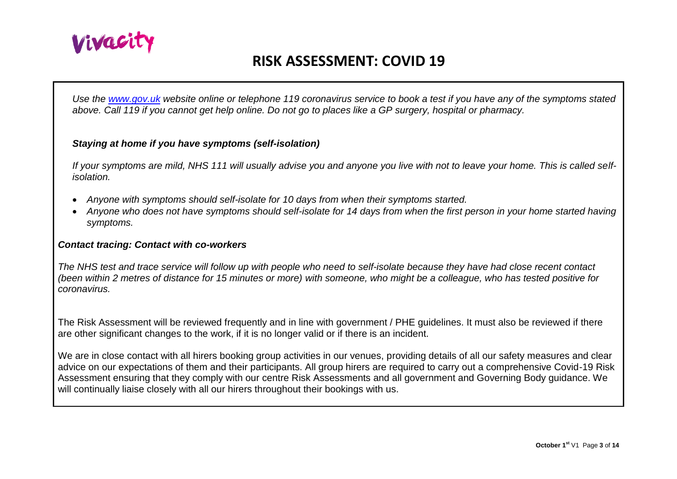

*Use the [www.gov.uk](http://www.gov.uk/) website online or telephone 119 coronavirus service to book a test if you have any of the symptoms stated above. Call 119 if you cannot get help online. Do not go to places like a GP surgery, hospital or pharmacy.* 

#### *Staying at home if you have symptoms (self-isolation)*

*If your symptoms are mild, NHS 111 will usually advise you and anyone you live with not to leave your home. This is called selfisolation.* 

- *Anyone with symptoms should self-isolate for 10 days from when their symptoms started.*
- *Anyone who does not have symptoms should self-isolate for 14 days from when the first person in your home started having symptoms.*

#### *Contact tracing: Contact with co-workers*

*The NHS test and trace service will follow up with people who need to self-isolate because they have had close recent contact (been within 2 metres of distance for 15 minutes or more) with someone, who might be a colleague, who has tested positive for coronavirus.* 

The Risk Assessment will be reviewed frequently and in line with government / PHE guidelines. It must also be reviewed if there are other significant changes to the work, if it is no longer valid or if there is an incident.

We are in close contact with all hirers booking group activities in our venues, providing details of all our safety measures and clear advice on our expectations of them and their participants. All group hirers are required to carry out a comprehensive Covid-19 Risk Assessment ensuring that they comply with our centre Risk Assessments and all government and Governing Body guidance. We will continually liaise closely with all our hirers throughout their bookings with us.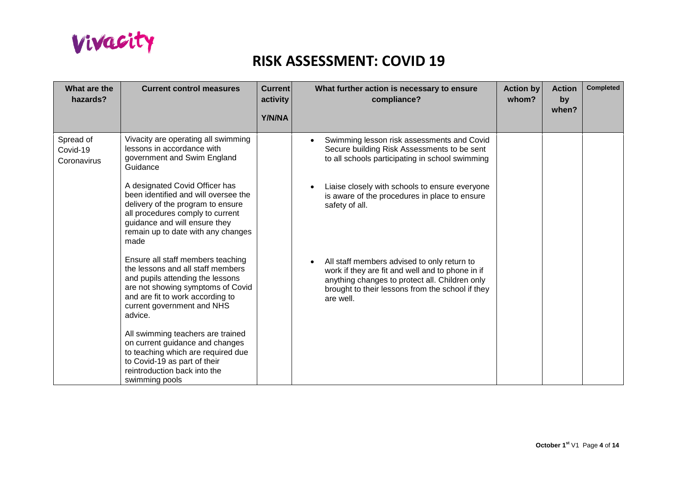

| What are the<br>hazards?             | <b>Current control measures</b>                                                                                                                                                                                                | <b>Current</b><br>activity<br>Y/N/NA | What further action is necessary to ensure<br>compliance?                                                                                                                                                          | <b>Action by</b><br>whom? | <b>Action</b><br>by<br>when? | <b>Completed</b> |
|--------------------------------------|--------------------------------------------------------------------------------------------------------------------------------------------------------------------------------------------------------------------------------|--------------------------------------|--------------------------------------------------------------------------------------------------------------------------------------------------------------------------------------------------------------------|---------------------------|------------------------------|------------------|
| Spread of<br>Covid-19<br>Coronavirus | Vivacity are operating all swimming<br>lessons in accordance with<br>government and Swim England<br>Guidance                                                                                                                   |                                      | Swimming lesson risk assessments and Covid<br>Secure building Risk Assessments to be sent<br>to all schools participating in school swimming                                                                       |                           |                              |                  |
|                                      | A designated Covid Officer has<br>been identified and will oversee the<br>delivery of the program to ensure<br>all procedures comply to current<br>guidance and will ensure they<br>remain up to date with any changes<br>made |                                      | Liaise closely with schools to ensure everyone<br>is aware of the procedures in place to ensure<br>safety of all.                                                                                                  |                           |                              |                  |
|                                      | Ensure all staff members teaching<br>the lessons and all staff members<br>and pupils attending the lessons<br>are not showing symptoms of Covid<br>and are fit to work according to<br>current government and NHS<br>advice.   |                                      | All staff members advised to only return to<br>work if they are fit and well and to phone in if<br>anything changes to protect all. Children only<br>brought to their lessons from the school if they<br>are well. |                           |                              |                  |
|                                      | All swimming teachers are trained<br>on current guidance and changes<br>to teaching which are required due<br>to Covid-19 as part of their<br>reintroduction back into the<br>swimming pools                                   |                                      |                                                                                                                                                                                                                    |                           |                              |                  |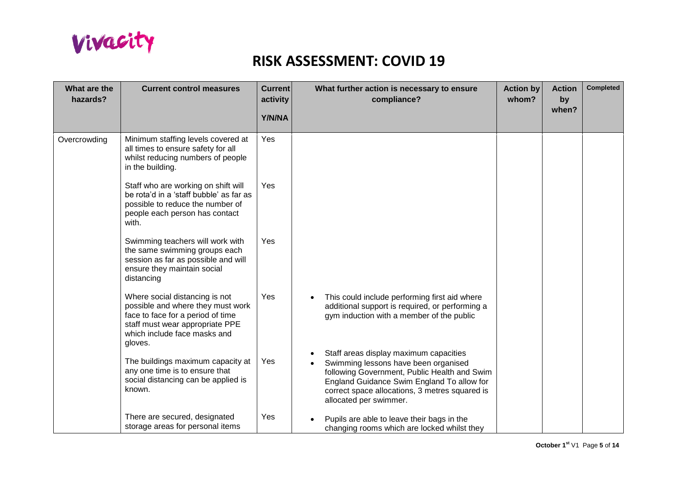

| What are the<br>hazards? | <b>Current control measures</b>                                                                                                                                                        | <b>Current</b><br>activity<br>Y/N/NA | What further action is necessary to ensure<br>compliance?                                                                                                                                                                                                | <b>Action by</b><br>whom? | <b>Action</b><br>by<br>when? | <b>Completed</b> |
|--------------------------|----------------------------------------------------------------------------------------------------------------------------------------------------------------------------------------|--------------------------------------|----------------------------------------------------------------------------------------------------------------------------------------------------------------------------------------------------------------------------------------------------------|---------------------------|------------------------------|------------------|
| Overcrowding             | Minimum staffing levels covered at<br>all times to ensure safety for all<br>whilst reducing numbers of people<br>in the building.                                                      | Yes                                  |                                                                                                                                                                                                                                                          |                           |                              |                  |
|                          | Staff who are working on shift will<br>be rota'd in a 'staff bubble' as far as<br>possible to reduce the number of<br>people each person has contact<br>with.                          | Yes                                  |                                                                                                                                                                                                                                                          |                           |                              |                  |
|                          | Swimming teachers will work with<br>the same swimming groups each<br>session as far as possible and will<br>ensure they maintain social<br>distancing                                  | Yes                                  |                                                                                                                                                                                                                                                          |                           |                              |                  |
|                          | Where social distancing is not<br>possible and where they must work<br>face to face for a period of time<br>staff must wear appropriate PPE<br>which include face masks and<br>gloves. | Yes                                  | This could include performing first aid where<br>additional support is required, or performing a<br>gym induction with a member of the public                                                                                                            |                           |                              |                  |
|                          | The buildings maximum capacity at<br>any one time is to ensure that<br>social distancing can be applied is<br>known.                                                                   | Yes                                  | Staff areas display maximum capacities<br>Swimming lessons have been organised<br>following Government, Public Health and Swim<br>England Guidance Swim England To allow for<br>correct space allocations, 3 metres squared is<br>allocated per swimmer. |                           |                              |                  |
|                          | There are secured, designated<br>storage areas for personal items                                                                                                                      | Yes                                  | Pupils are able to leave their bags in the<br>changing rooms which are locked whilst they                                                                                                                                                                |                           |                              |                  |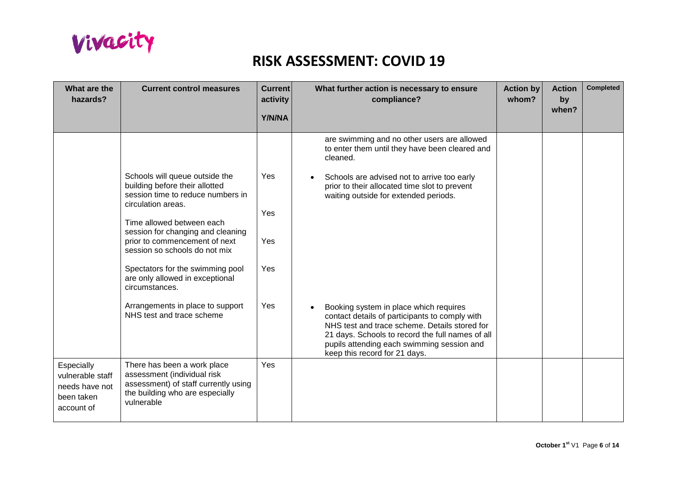

| What are the<br>hazards?                                                     | <b>Current control measures</b>                                                                                                                     | <b>Current</b><br>activity | <b>Action by</b><br>What further action is necessary to ensure<br>compliance?<br>whom?                                                                                                                                                                                       | <b>Action</b><br>by<br>when? | <b>Completed</b> |
|------------------------------------------------------------------------------|-----------------------------------------------------------------------------------------------------------------------------------------------------|----------------------------|------------------------------------------------------------------------------------------------------------------------------------------------------------------------------------------------------------------------------------------------------------------------------|------------------------------|------------------|
|                                                                              |                                                                                                                                                     | Y/N/NA                     |                                                                                                                                                                                                                                                                              |                              |                  |
|                                                                              |                                                                                                                                                     |                            | are swimming and no other users are allowed<br>to enter them until they have been cleared and<br>cleaned.                                                                                                                                                                    |                              |                  |
|                                                                              | Schools will queue outside the<br>building before their allotted<br>session time to reduce numbers in<br>circulation areas.                         | Yes<br>Yes                 | Schools are advised not to arrive too early<br>prior to their allocated time slot to prevent<br>waiting outside for extended periods.                                                                                                                                        |                              |                  |
|                                                                              | Time allowed between each<br>session for changing and cleaning<br>prior to commencement of next<br>session so schools do not mix                    | Yes                        |                                                                                                                                                                                                                                                                              |                              |                  |
|                                                                              | Spectators for the swimming pool<br>are only allowed in exceptional<br>circumstances.                                                               | Yes                        |                                                                                                                                                                                                                                                                              |                              |                  |
|                                                                              | Arrangements in place to support<br>NHS test and trace scheme                                                                                       | Yes                        | Booking system in place which requires<br>contact details of participants to comply with<br>NHS test and trace scheme. Details stored for<br>21 days. Schools to record the full names of all<br>pupils attending each swimming session and<br>keep this record for 21 days. |                              |                  |
| Especially<br>vulnerable staff<br>needs have not<br>been taken<br>account of | There has been a work place<br>assessment (individual risk<br>assessment) of staff currently using<br>the building who are especially<br>vulnerable | Yes                        |                                                                                                                                                                                                                                                                              |                              |                  |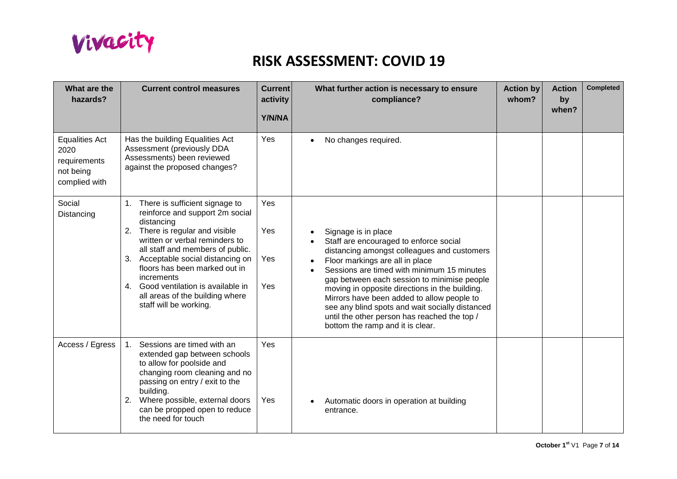

| What are the<br>hazards?                                                    | <b>Current control measures</b>                                                                                                                                                                                                                                                                                                                                                      | <b>Current</b><br>activity<br>Y/N/NA | What further action is necessary to ensure<br>compliance?                                                                                                                                                                                                                                                                                                                                                                                                                           | <b>Action by</b><br>whom? | <b>Action</b><br>by<br>when? | <b>Completed</b> |
|-----------------------------------------------------------------------------|--------------------------------------------------------------------------------------------------------------------------------------------------------------------------------------------------------------------------------------------------------------------------------------------------------------------------------------------------------------------------------------|--------------------------------------|-------------------------------------------------------------------------------------------------------------------------------------------------------------------------------------------------------------------------------------------------------------------------------------------------------------------------------------------------------------------------------------------------------------------------------------------------------------------------------------|---------------------------|------------------------------|------------------|
| <b>Equalities Act</b><br>2020<br>requirements<br>not being<br>complied with | Has the building Equalities Act<br>Assessment (previously DDA<br>Assessments) been reviewed<br>against the proposed changes?                                                                                                                                                                                                                                                         | Yes                                  | No changes required.                                                                                                                                                                                                                                                                                                                                                                                                                                                                |                           |                              |                  |
| Social<br>Distancing                                                        | 1. There is sufficient signage to<br>reinforce and support 2m social<br>distancing<br>2. There is regular and visible<br>written or verbal reminders to<br>all staff and members of public.<br>3. Acceptable social distancing on<br>floors has been marked out in<br>increments<br>4. Good ventilation is available in<br>all areas of the building where<br>staff will be working. | Yes<br>Yes<br>Yes<br>Yes             | Signage is in place<br>Staff are encouraged to enforce social<br>distancing amongst colleagues and customers<br>Floor markings are all in place<br>Sessions are timed with minimum 15 minutes<br>gap between each session to minimise people<br>moving in opposite directions in the building.<br>Mirrors have been added to allow people to<br>see any blind spots and wait socially distanced<br>until the other person has reached the top /<br>bottom the ramp and it is clear. |                           |                              |                  |
| Access / Egress                                                             | Sessions are timed with an<br>1 <sup>1</sup><br>extended gap between schools<br>to allow for poolside and<br>changing room cleaning and no<br>passing on entry / exit to the<br>building.<br>Where possible, external doors<br>2.<br>can be propped open to reduce<br>the need for touch                                                                                             | Yes<br>Yes                           | Automatic doors in operation at building<br>entrance.                                                                                                                                                                                                                                                                                                                                                                                                                               |                           |                              |                  |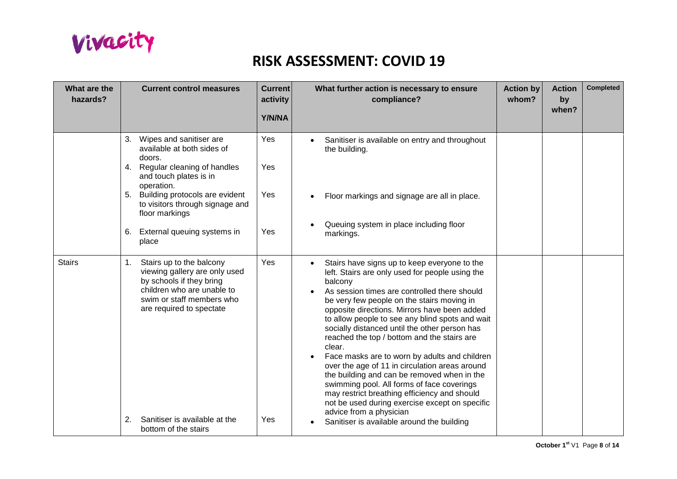

| What are the<br>hazards? |          | <b>Current control measures</b>                                                                                                                                                                                                                                                   | <b>Current</b><br>activity<br>Y/N/NA | <b>Action by</b><br><b>Action</b><br>What further action is necessary to ensure<br>compliance?<br>whom?<br>by<br>when?                                                                                                                                                                                                                                                                                                                                                                                                                                                                                                                                                                                                                                                                                        | <b>Completed</b> |
|--------------------------|----------|-----------------------------------------------------------------------------------------------------------------------------------------------------------------------------------------------------------------------------------------------------------------------------------|--------------------------------------|---------------------------------------------------------------------------------------------------------------------------------------------------------------------------------------------------------------------------------------------------------------------------------------------------------------------------------------------------------------------------------------------------------------------------------------------------------------------------------------------------------------------------------------------------------------------------------------------------------------------------------------------------------------------------------------------------------------------------------------------------------------------------------------------------------------|------------------|
|                          |          | 3. Wipes and sanitiser are<br>available at both sides of<br>doors.<br>4. Regular cleaning of handles<br>and touch plates is in<br>operation.<br>5. Building protocols are evident<br>to visitors through signage and<br>floor markings<br>6. External queuing systems in<br>place | Yes<br>Yes<br>Yes<br>Yes             | Sanitiser is available on entry and throughout<br>the building.<br>Floor markings and signage are all in place.<br>Queuing system in place including floor<br>markings.                                                                                                                                                                                                                                                                                                                                                                                                                                                                                                                                                                                                                                       |                  |
| <b>Stairs</b>            | 1.<br>2. | Stairs up to the balcony<br>viewing gallery are only used<br>by schools if they bring<br>children who are unable to<br>swim or staff members who<br>are required to spectate<br>Sanitiser is available at the<br>bottom of the stairs                                             | Yes<br>Yes                           | Stairs have signs up to keep everyone to the<br>$\bullet$<br>left. Stairs are only used for people using the<br>balcony<br>As session times are controlled there should<br>be very few people on the stairs moving in<br>opposite directions. Mirrors have been added<br>to allow people to see any blind spots and wait<br>socially distanced until the other person has<br>reached the top / bottom and the stairs are<br>clear.<br>Face masks are to worn by adults and children<br>over the age of 11 in circulation areas around<br>the building and can be removed when in the<br>swimming pool. All forms of face coverings<br>may restrict breathing efficiency and should<br>not be used during exercise except on specific<br>advice from a physician<br>Sanitiser is available around the building |                  |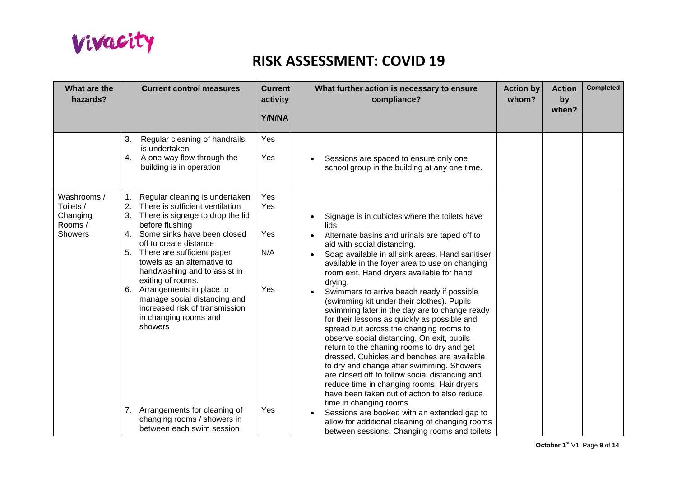

| What are the<br>hazards?                                         | <b>Current control measures</b>                                                                                                                                                                                                                                                                                                                                                                                                                                                                                                                                    | <b>Current</b><br>activity<br>Y/N/NA   | What further action is necessary to ensure<br>compliance?                                                                                                                                                                                                                                                                                                                                                                                                                                                                                                                                                                                                                                                                                                                                                                                                                                                                                                                                                                                                        | <b>Action by</b><br>whom? | <b>Action</b><br>by<br>when? | <b>Completed</b> |
|------------------------------------------------------------------|--------------------------------------------------------------------------------------------------------------------------------------------------------------------------------------------------------------------------------------------------------------------------------------------------------------------------------------------------------------------------------------------------------------------------------------------------------------------------------------------------------------------------------------------------------------------|----------------------------------------|------------------------------------------------------------------------------------------------------------------------------------------------------------------------------------------------------------------------------------------------------------------------------------------------------------------------------------------------------------------------------------------------------------------------------------------------------------------------------------------------------------------------------------------------------------------------------------------------------------------------------------------------------------------------------------------------------------------------------------------------------------------------------------------------------------------------------------------------------------------------------------------------------------------------------------------------------------------------------------------------------------------------------------------------------------------|---------------------------|------------------------------|------------------|
|                                                                  | 3.<br>Regular cleaning of handrails<br>is undertaken<br>A one way flow through the<br>4.<br>building is in operation                                                                                                                                                                                                                                                                                                                                                                                                                                               | Yes<br>Yes                             | Sessions are spaced to ensure only one<br>school group in the building at any one time.                                                                                                                                                                                                                                                                                                                                                                                                                                                                                                                                                                                                                                                                                                                                                                                                                                                                                                                                                                          |                           |                              |                  |
| Washrooms /<br>Toilets /<br>Changing<br>Rooms/<br><b>Showers</b> | Regular cleaning is undertaken<br>1.<br>There is sufficient ventilation<br>2.<br>There is signage to drop the lid<br>3.<br>before flushing<br>Some sinks have been closed<br>4.<br>off to create distance<br>5. There are sufficient paper<br>towels as an alternative to<br>handwashing and to assist in<br>exiting of rooms.<br>6. Arrangements in place to<br>manage social distancing and<br>increased risk of transmission<br>in changing rooms and<br>showers<br>7. Arrangements for cleaning of<br>changing rooms / showers in<br>between each swim session | Yes<br>Yes<br>Yes<br>N/A<br>Yes<br>Yes | Signage is in cubicles where the toilets have<br>lids<br>Alternate basins and urinals are taped off to<br>aid with social distancing.<br>Soap available in all sink areas. Hand sanitiser<br>available in the foyer area to use on changing<br>room exit. Hand dryers available for hand<br>drying.<br>Swimmers to arrive beach ready if possible<br>(swimming kit under their clothes). Pupils<br>swimming later in the day are to change ready<br>for their lessons as quickly as possible and<br>spread out across the changing rooms to<br>observe social distancing. On exit, pupils<br>return to the chaning rooms to dry and get<br>dressed. Cubicles and benches are available<br>to dry and change after swimming. Showers<br>are closed off to follow social distancing and<br>reduce time in changing rooms. Hair dryers<br>have been taken out of action to also reduce<br>time in changing rooms.<br>Sessions are booked with an extended gap to<br>allow for additional cleaning of changing rooms<br>between sessions. Changing rooms and toilets |                           |                              |                  |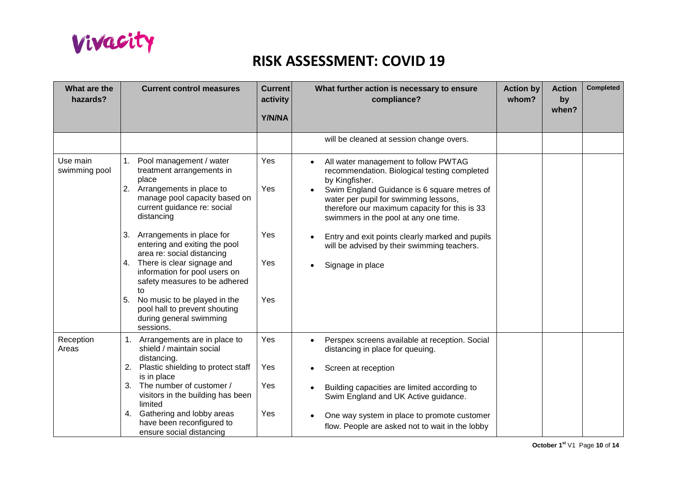

| What are the<br>hazards?  | <b>Current control measures</b>                                                                                                                                                                                                                                                                                                                                                                                                                                                                         | <b>Current</b><br>activity<br>Y/N/NA | What further action is necessary to ensure<br>compliance?                                                                                                                                                                                                                                                                                                                                                                   | <b>Action by</b><br>whom? | <b>Action</b><br>by<br>when? | <b>Completed</b> |
|---------------------------|---------------------------------------------------------------------------------------------------------------------------------------------------------------------------------------------------------------------------------------------------------------------------------------------------------------------------------------------------------------------------------------------------------------------------------------------------------------------------------------------------------|--------------------------------------|-----------------------------------------------------------------------------------------------------------------------------------------------------------------------------------------------------------------------------------------------------------------------------------------------------------------------------------------------------------------------------------------------------------------------------|---------------------------|------------------------------|------------------|
|                           |                                                                                                                                                                                                                                                                                                                                                                                                                                                                                                         |                                      | will be cleaned at session change overs.                                                                                                                                                                                                                                                                                                                                                                                    |                           |                              |                  |
| Use main<br>swimming pool | 1.<br>Pool management / water<br>treatment arrangements in<br>place<br>2. Arrangements in place to<br>manage pool capacity based on<br>current guidance re: social<br>distancing<br>3. Arrangements in place for<br>entering and exiting the pool<br>area re: social distancing<br>4. There is clear signage and<br>information for pool users on<br>safety measures to be adhered<br>to<br>5.<br>No music to be played in the<br>pool hall to prevent shouting<br>during general swimming<br>sessions. | Yes<br>Yes<br>Yes<br>Yes<br>Yes      | All water management to follow PWTAG<br>$\bullet$<br>recommendation. Biological testing completed<br>by Kingfisher.<br>Swim England Guidance is 6 square metres of<br>water per pupil for swimming lessons,<br>therefore our maximum capacity for this is 33<br>swimmers in the pool at any one time.<br>Entry and exit points clearly marked and pupils<br>will be advised by their swimming teachers.<br>Signage in place |                           |                              |                  |
| Reception<br>Areas        | 1. Arrangements are in place to<br>shield / maintain social<br>distancing.<br>Plastic shielding to protect staff<br>2.<br>is in place<br>The number of customer /<br>3.<br>visitors in the building has been<br>limited                                                                                                                                                                                                                                                                                 | Yes<br>Yes<br>Yes                    | Perspex screens available at reception. Social<br>$\bullet$<br>distancing in place for queuing.<br>Screen at reception<br>Building capacities are limited according to<br>Swim England and UK Active guidance.                                                                                                                                                                                                              |                           |                              |                  |
|                           | Gathering and lobby areas<br>4.<br>have been reconfigured to<br>ensure social distancing                                                                                                                                                                                                                                                                                                                                                                                                                | Yes                                  | One way system in place to promote customer<br>flow. People are asked not to wait in the lobby                                                                                                                                                                                                                                                                                                                              |                           |                              |                  |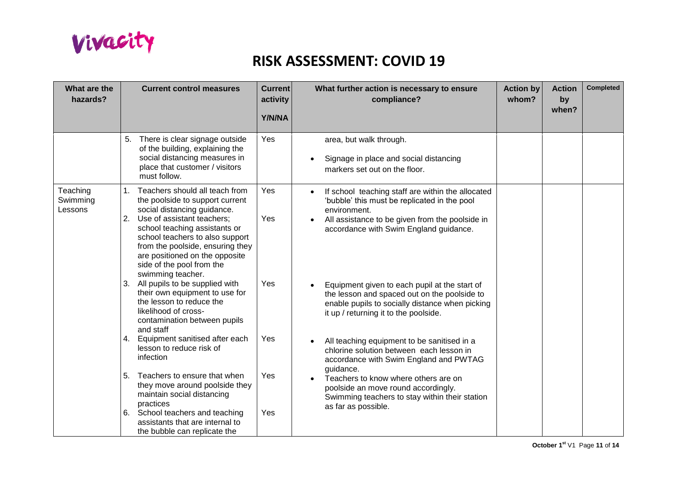

| What are the<br>hazards?        |          | <b>Current control measures</b>                                                                                                                                                                                                                                                                                                  | <b>Current</b><br>activity<br>Y/N/NA | What further action is necessary to ensure<br>compliance?                                                                                                                                                      | <b>Action by</b><br>whom? | <b>Action</b><br>by<br>when? | <b>Completed</b> |
|---------------------------------|----------|----------------------------------------------------------------------------------------------------------------------------------------------------------------------------------------------------------------------------------------------------------------------------------------------------------------------------------|--------------------------------------|----------------------------------------------------------------------------------------------------------------------------------------------------------------------------------------------------------------|---------------------------|------------------------------|------------------|
|                                 |          | 5. There is clear signage outside<br>of the building, explaining the<br>social distancing measures in<br>place that customer / visitors<br>must follow.                                                                                                                                                                          | Yes                                  | area, but walk through.<br>Signage in place and social distancing<br>markers set out on the floor.                                                                                                             |                           |                              |                  |
| Teaching<br>Swimming<br>Lessons |          | 1. Teachers should all teach from<br>the poolside to support current<br>social distancing guidance.<br>2. Use of assistant teachers;<br>school teaching assistants or<br>school teachers to also support<br>from the poolside, ensuring they<br>are positioned on the opposite<br>side of the pool from the<br>swimming teacher. | Yes<br>Yes                           | If school teaching staff are within the allocated<br>'bubble' this must be replicated in the pool<br>environment.<br>All assistance to be given from the poolside in<br>accordance with Swim England guidance. |                           |                              |                  |
|                                 |          | 3. All pupils to be supplied with<br>their own equipment to use for<br>the lesson to reduce the<br>likelihood of cross-<br>contamination between pupils<br>and staff                                                                                                                                                             | Yes                                  | Equipment given to each pupil at the start of<br>the lesson and spaced out on the poolside to<br>enable pupils to socially distance when picking<br>it up / returning it to the poolside.                      |                           |                              |                  |
|                                 |          | 4. Equipment sanitised after each<br>lesson to reduce risk of<br>infection                                                                                                                                                                                                                                                       | Yes                                  | All teaching equipment to be sanitised in a<br>chlorine solution between each lesson in<br>accordance with Swim England and PWTAG<br>guidance.                                                                 |                           |                              |                  |
|                                 | 5.<br>6. | Teachers to ensure that when<br>they move around poolside they<br>maintain social distancing<br>practices<br>School teachers and teaching<br>assistants that are internal to<br>the bubble can replicate the                                                                                                                     | Yes<br>Yes                           | Teachers to know where others are on<br>poolside an move round accordingly.<br>Swimming teachers to stay within their station<br>as far as possible.                                                           |                           |                              |                  |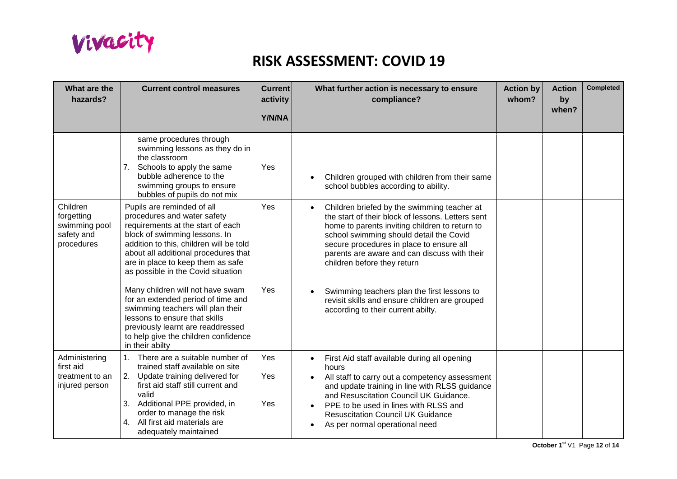

| What are the<br>hazards?                                            | <b>Current control measures</b>                                                                                                                                                                                                                                                                | <b>Current</b><br>activity<br>Y/N/NA | What further action is necessary to ensure<br>compliance?                                                                                                                                                                                                                                                                               | <b>Action by</b><br>whom? | <b>Action</b><br>by<br>when? | <b>Completed</b> |
|---------------------------------------------------------------------|------------------------------------------------------------------------------------------------------------------------------------------------------------------------------------------------------------------------------------------------------------------------------------------------|--------------------------------------|-----------------------------------------------------------------------------------------------------------------------------------------------------------------------------------------------------------------------------------------------------------------------------------------------------------------------------------------|---------------------------|------------------------------|------------------|
|                                                                     | same procedures through<br>swimming lessons as they do in<br>the classroom<br>7. Schools to apply the same<br>bubble adherence to the<br>swimming groups to ensure<br>bubbles of pupils do not mix                                                                                             | Yes                                  | Children grouped with children from their same<br>school bubbles according to ability.                                                                                                                                                                                                                                                  |                           |                              |                  |
| Children<br>forgetting<br>swimming pool<br>safety and<br>procedures | Pupils are reminded of all<br>procedures and water safety<br>requirements at the start of each<br>block of swimming lessons. In<br>addition to this, children will be told<br>about all additional procedures that<br>are in place to keep them as safe<br>as possible in the Covid situation  | Yes                                  | Children briefed by the swimming teacher at<br>the start of their block of lessons. Letters sent<br>home to parents inviting children to return to<br>school swimming should detail the Covid<br>secure procedures in place to ensure all<br>parents are aware and can discuss with their<br>children before they return                |                           |                              |                  |
|                                                                     | Many children will not have swam<br>for an extended period of time and<br>swimming teachers will plan their<br>lessons to ensure that skills<br>previously learnt are readdressed<br>to help give the children confidence<br>in their abilty                                                   | Yes                                  | Swimming teachers plan the first lessons to<br>revisit skills and ensure children are grouped<br>according to their current abilty.                                                                                                                                                                                                     |                           |                              |                  |
| Administering<br>first aid<br>treatment to an<br>injured person     | There are a suitable number of<br>1 <sup>1</sup><br>trained staff available on site<br>2. Update training delivered for<br>first aid staff still current and<br>valid<br>3. Additional PPE provided, in<br>order to manage the risk<br>4. All first aid materials are<br>adequately maintained | Yes<br>Yes<br>Yes                    | First Aid staff available during all opening<br>$\bullet$<br>hours<br>All staff to carry out a competency assessment<br>and update training in line with RLSS guidance<br>and Resuscitation Council UK Guidance.<br>PPE to be used in lines with RLSS and<br><b>Resuscitation Council UK Guidance</b><br>As per normal operational need |                           |                              |                  |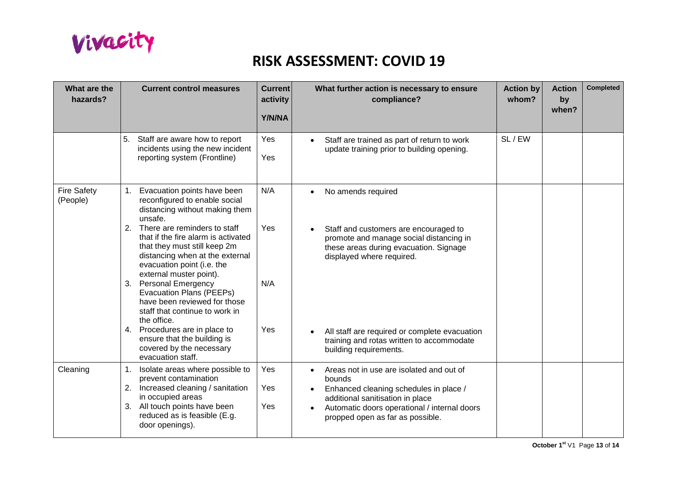

| What are the<br>hazards?       | <b>Current control measures</b>                                                                                                                                                                            | <b>Current</b><br>activity<br><b>Y/N/NA</b> | What further action is necessary to ensure<br>compliance?                                                                                                                                                                         | <b>Action by</b><br>whom? | <b>Action</b><br>by<br>when? | <b>Completed</b> |
|--------------------------------|------------------------------------------------------------------------------------------------------------------------------------------------------------------------------------------------------------|---------------------------------------------|-----------------------------------------------------------------------------------------------------------------------------------------------------------------------------------------------------------------------------------|---------------------------|------------------------------|------------------|
|                                | 5. Staff are aware how to report<br>incidents using the new incident<br>reporting system (Frontline)                                                                                                       | Yes<br>Yes                                  | Staff are trained as part of return to work<br>$\bullet$<br>update training prior to building opening.                                                                                                                            | SL / EW                   |                              |                  |
| <b>Fire Safety</b><br>(People) | 1. Evacuation points have been<br>reconfigured to enable social<br>distancing without making them<br>unsafe.                                                                                               | N/A                                         | No amends required                                                                                                                                                                                                                |                           |                              |                  |
|                                | 2. There are reminders to staff<br>that if the fire alarm is activated<br>that they must still keep 2m<br>distancing when at the external<br>evacuation point (i.e. the<br>external muster point).         | Yes                                         | Staff and customers are encouraged to<br>promote and manage social distancing in<br>these areas during evacuation. Signage<br>displayed where required.                                                                           |                           |                              |                  |
|                                | 3. Personal Emergency<br>Evacuation Plans (PEEPs)<br>have been reviewed for those<br>staff that continue to work in<br>the office.                                                                         | N/A                                         |                                                                                                                                                                                                                                   |                           |                              |                  |
|                                | 4. Procedures are in place to<br>ensure that the building is<br>covered by the necessary<br>evacuation staff.                                                                                              | Yes                                         | All staff are required or complete evacuation<br>training and rotas written to accommodate<br>building requirements.                                                                                                              |                           |                              |                  |
| Cleaning                       | 1. Isolate areas where possible to<br>prevent contamination<br>2. Increased cleaning / sanitation<br>in occupied areas<br>3. All touch points have been<br>reduced as is feasible (E.g.<br>door openings). | Yes<br>Yes<br>Yes                           | Areas not in use are isolated and out of<br>bounds<br>Enhanced cleaning schedules in place /<br>$\bullet$<br>additional sanitisation in place<br>Automatic doors operational / internal doors<br>propped open as far as possible. |                           |                              |                  |